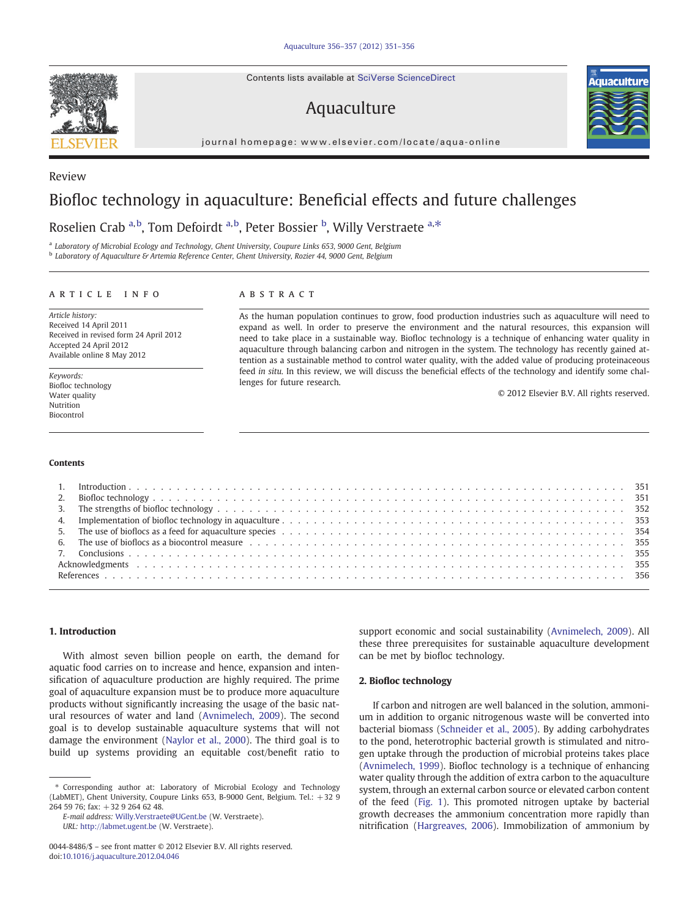Contents lists available at SciVerse ScienceDirect

# Aquaculture

journal homepage: www.elsevier.com/locate/aqua-online

# Biofloc technology in aquaculture: Beneficial effects and future challenges

## Roselien Crab <sup>a, b</sup>, Tom Defoirdt <sup>a, b</sup>, Peter Bossier <sup>b</sup>, Willy Verstraete <sup>a,\*</sup>

<sup>a</sup> Laboratory of Microbial Ecology and Technology, Ghent University, Coupure Links 653, 9000 Gent, Belgium

**b** Laboratory of Aquaculture & Artemia Reference Center, Ghent University, Rozier 44, 9000 Gent, Belgium

### article info abstract

Article history: Received 14 April 2011 Received in revised form 24 April 2012 Accepted 24 April 2012 Available online 8 May 2012

Keywords: Biofloc technology Water quality Nutrition Biocontrol

#### **Contents**

As the human population continues to grow, food production industries such as aquaculture will need to expand as well. In order to preserve the environment and the natural resources, this expansion will need to take place in a sustainable way. Biofloc technology is a technique of enhancing water quality in aquaculture through balancing carbon and nitrogen in the system. The technology has recently gained attention as a sustainable method to control water quality, with the added value of producing proteinaceous feed in situ. In this review, we will discuss the beneficial effects of the technology and identify some challenges for future research.

© 2012 Elsevier B.V. All rights reserved.

| 5. The use of bioflocs as a feed for aquaculture species et also entered by received and the section of the section of the species of the section of the species of the section of the species of the section of the section o |  |
|--------------------------------------------------------------------------------------------------------------------------------------------------------------------------------------------------------------------------------|--|
|                                                                                                                                                                                                                                |  |
|                                                                                                                                                                                                                                |  |
|                                                                                                                                                                                                                                |  |
|                                                                                                                                                                                                                                |  |

### 1. Introduction

With almost seven billion people on earth, the demand for aquatic food carries on to increase and hence, expansion and intensification of aquaculture production are highly required. The prime goal of aquaculture expansion must be to produce more aquaculture products without significantly increasing the usage of the basic natural resources of water and land [\(Avnimelech, 2009](#page-5-0)). The second goal is to develop sustainable aquaculture systems that will not damage the environment [\(Naylor et al., 2000](#page-5-0)). The third goal is to build up systems providing an equitable cost/benefit ratio to

⁎ Corresponding author at: Laboratory of Microbial Ecology and Technology (LabMET), Ghent University, Coupure Links 653, B-9000 Gent, Belgium. Tel.: +32 9 264 59 76; fax: +32 9 264 62 48.

support economic and social sustainability ([Avnimelech, 2009](#page-5-0)). All these three prerequisites for sustainable aquaculture development can be met by biofloc technology.

#### 2. Biofloc technology

If carbon and nitrogen are well balanced in the solution, ammonium in addition to organic nitrogenous waste will be converted into bacterial biomass [\(Schneider et al., 2005](#page-5-0)). By adding carbohydrates to the pond, heterotrophic bacterial growth is stimulated and nitrogen uptake through the production of microbial proteins takes place [\(Avnimelech, 1999](#page-5-0)). Biofloc technology is a technique of enhancing water quality through the addition of extra carbon to the aquaculture system, through an external carbon source or elevated carbon content of the feed ([Fig. 1](#page-1-0)). This promoted nitrogen uptake by bacterial growth decreases the ammonium concentration more rapidly than nitrification ([Hargreaves, 2006\)](#page-5-0). Immobilization of ammonium by



Review



E-mail address: [Willy.Verstraete@UGent.be](mailto:Willy.Verstraete@UGent.be) (W. Verstraete). URL: <http://labmet.ugent.be> (W. Verstraete).

<sup>0044-8486/\$</sup> – see front matter © 2012 Elsevier B.V. All rights reserved. doi:[10.1016/j.aquaculture.2012.04.046](http://dx.doi.org/10.1016/j.aquaculture.2012.04.046)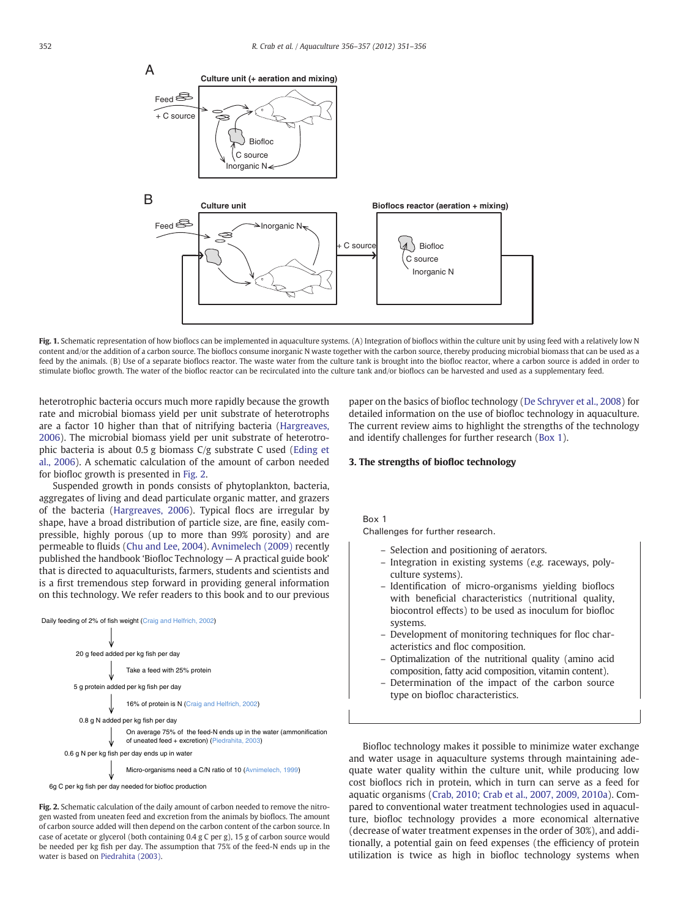<span id="page-1-0"></span>

Fig. 1. Schematic representation of how bioflocs can be implemented in aquaculture systems. (A) Integration of bioflocs within the culture unit by using feed with a relatively low N content and/or the addition of a carbon source. The bioflocs consume inorganic N waste together with the carbon source, thereby producing microbial biomass that can be used as a feed by the animals. (B) Use of a separate bioflocs reactor. The waste water from the culture tank is brought into the biofloc reactor, where a carbon source is added in order to stimulate biofloc growth. The water of the biofloc reactor can be recirculated into the culture tank and/or bioflocs can be harvested and used as a supplementary feed.

heterotrophic bacteria occurs much more rapidly because the growth rate and microbial biomass yield per unit substrate of heterotrophs are a factor 10 higher than that of nitrifying bacteria [\(Hargreaves,](#page-5-0) [2006\)](#page-5-0). The microbial biomass yield per unit substrate of heterotrophic bacteria is about 0.5 g biomass C/g substrate C used ([Eding et](#page-5-0) [al., 2006](#page-5-0)). A schematic calculation of the amount of carbon needed for biofloc growth is presented in Fig. 2.

Suspended growth in ponds consists of phytoplankton, bacteria, aggregates of living and dead particulate organic matter, and grazers of the bacteria [\(Hargreaves, 2006](#page-5-0)). Typical flocs are irregular by shape, have a broad distribution of particle size, are fine, easily compressible, highly porous (up to more than 99% porosity) and are permeable to fluids [\(Chu and Lee, 2004\)](#page-5-0). [Avnimelech \(2009\)](#page-5-0) recently published the handbook 'Biofloc Technology — A practical guide book' that is directed to aquaculturists, farmers, students and scientists and is a first tremendous step forward in providing general information on this technology. We refer readers to this book and to our previous



Fig. 2. Schematic calculation of the daily amount of carbon needed to remove the nitrogen wasted from uneaten feed and excretion from the animals by bioflocs. The amount of carbon source added will then depend on the carbon content of the carbon source. In case of acetate or glycerol (both containing 0.4 g C per g), 15 g of carbon source would be needed per kg fish per day. The assumption that 75% of the feed-N ends up in the water is based on [Piedrahita \(2003\)](#page-5-0).

paper on the basics of biofloc technology [\(De Schryver et al., 2008](#page-5-0)) for detailed information on the use of biofloc technology in aquaculture. The current review aims to highlight the strengths of the technology and identify challenges for further research (Box 1).

#### 3. The strengths of biofloc technology

 $Chollc$ Challenges for further research.

- Selection and positioning of aerators.
- Integration in existing systems (e.g. raceways, polyculture systems).
- Identification of micro-organisms yielding bioflocs with beneficial characteristics (nutritional quality, biocontrol effects) to be used as inoculum for biofloc systems.
- Development of monitoring techniques for floc characteristics and floc composition.
- Optimalization of the nutritional quality (amino acid composition, fatty acid composition, vitamin content).
- Determination of the impact of the carbon source type on biofloc characteristics.

Biofloc technology makes it possible to minimize water exchange and water usage in aquaculture systems through maintaining adequate water quality within the culture unit, while producing low cost bioflocs rich in protein, which in turn can serve as a feed for aquatic organisms ([Crab, 2010; Crab et al., 2007, 2009, 2010a](#page-5-0)). Compared to conventional water treatment technologies used in aquaculture, biofloc technology provides a more economical alternative (decrease of water treatment expenses in the order of 30%), and additionally, a potential gain on feed expenses (the efficiency of protein utilization is twice as high in biofloc technology systems when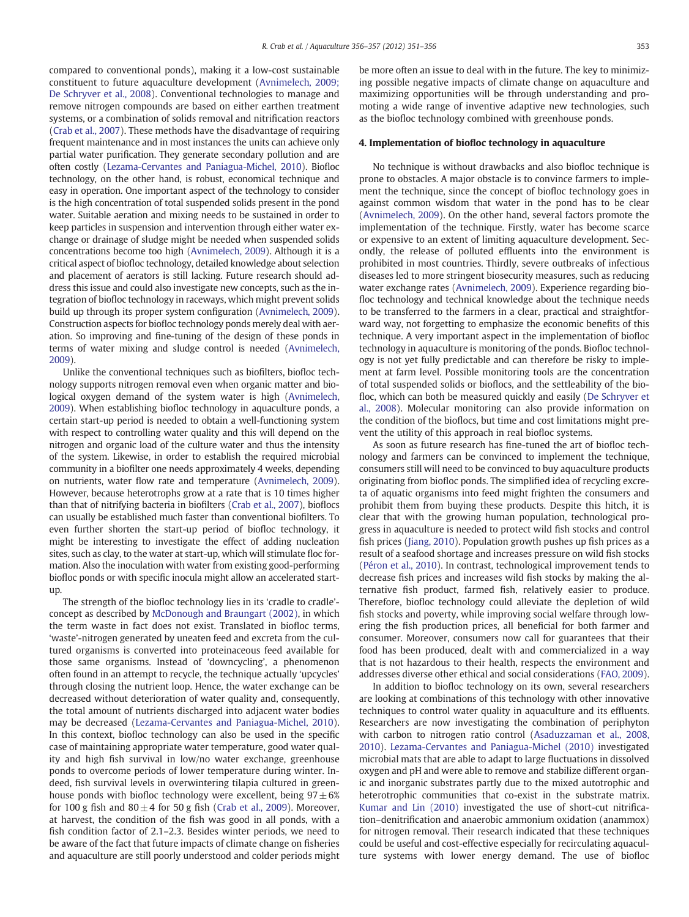compared to conventional ponds), making it a low-cost sustainable constituent to future aquaculture development [\(Avnimelech, 2009;](#page-5-0) [De Schryver et al., 2008\)](#page-5-0). Conventional technologies to manage and remove nitrogen compounds are based on either earthen treatment systems, or a combination of solids removal and nitrification reactors [\(Crab et al., 2007\)](#page-5-0). These methods have the disadvantage of requiring frequent maintenance and in most instances the units can achieve only partial water purification. They generate secondary pollution and are often costly [\(Lezama-Cervantes and Paniagua-Michel, 2010\)](#page-5-0). Biofloc technology, on the other hand, is robust, economical technique and easy in operation. One important aspect of the technology to consider is the high concentration of total suspended solids present in the pond water. Suitable aeration and mixing needs to be sustained in order to keep particles in suspension and intervention through either water exchange or drainage of sludge might be needed when suspended solids concentrations become too high [\(Avnimelech, 2009\)](#page-5-0). Although it is a critical aspect of biofloc technology, detailed knowledge about selection and placement of aerators is still lacking. Future research should address this issue and could also investigate new concepts, such as the integration of biofloc technology in raceways, which might prevent solids build up through its proper system configuration [\(Avnimelech, 2009](#page-5-0)). Construction aspects for biofloc technology ponds merely deal with aeration. So improving and fine-tuning of the design of these ponds in terms of water mixing and sludge control is needed ([Avnimelech,](#page-5-0) [2009](#page-5-0)).

Unlike the conventional techniques such as biofilters, biofloc technology supports nitrogen removal even when organic matter and biological oxygen demand of the system water is high ([Avnimelech,](#page-5-0) [2009](#page-5-0)). When establishing biofloc technology in aquaculture ponds, a certain start-up period is needed to obtain a well-functioning system with respect to controlling water quality and this will depend on the nitrogen and organic load of the culture water and thus the intensity of the system. Likewise, in order to establish the required microbial community in a biofilter one needs approximately 4 weeks, depending on nutrients, water flow rate and temperature [\(Avnimelech, 2009](#page-5-0)). However, because heterotrophs grow at a rate that is 10 times higher than that of nitrifying bacteria in biofilters [\(Crab et al., 2007\)](#page-5-0), bioflocs can usually be established much faster than conventional biofilters. To even further shorten the start-up period of biofloc technology, it might be interesting to investigate the effect of adding nucleation sites, such as clay, to the water at start-up, which will stimulate floc formation. Also the inoculation with water from existing good-performing biofloc ponds or with specific inocula might allow an accelerated startup.

The strength of the biofloc technology lies in its 'cradle to cradle' concept as described by [McDonough and Braungart \(2002\),](#page-5-0) in which the term waste in fact does not exist. Translated in biofloc terms, 'waste'-nitrogen generated by uneaten feed and excreta from the cultured organisms is converted into proteinaceous feed available for those same organisms. Instead of 'downcycling', a phenomenon often found in an attempt to recycle, the technique actually 'upcycles' through closing the nutrient loop. Hence, the water exchange can be decreased without deterioration of water quality and, consequently, the total amount of nutrients discharged into adjacent water bodies may be decreased [\(Lezama-Cervantes and Paniagua-Michel, 2010](#page-5-0)). In this context, biofloc technology can also be used in the specific case of maintaining appropriate water temperature, good water quality and high fish survival in low/no water exchange, greenhouse ponds to overcome periods of lower temperature during winter. Indeed, fish survival levels in overwintering tilapia cultured in greenhouse ponds with biofloc technology were excellent, being  $97 \pm 6\%$ for 100 g fish and  $80 \pm 4$  for 50 g fish ([Crab et al., 2009](#page-5-0)). Moreover, at harvest, the condition of the fish was good in all ponds, with a fish condition factor of 2.1–2.3. Besides winter periods, we need to be aware of the fact that future impacts of climate change on fisheries and aquaculture are still poorly understood and colder periods might be more often an issue to deal with in the future. The key to minimizing possible negative impacts of climate change on aquaculture and maximizing opportunities will be through understanding and promoting a wide range of inventive adaptive new technologies, such as the biofloc technology combined with greenhouse ponds.

#### 4. Implementation of biofloc technology in aquaculture

No technique is without drawbacks and also biofloc technique is prone to obstacles. A major obstacle is to convince farmers to implement the technique, since the concept of biofloc technology goes in against common wisdom that water in the pond has to be clear [\(Avnimelech, 2009\)](#page-5-0). On the other hand, several factors promote the implementation of the technique. Firstly, water has become scarce or expensive to an extent of limiting aquaculture development. Secondly, the release of polluted effluents into the environment is prohibited in most countries. Thirdly, severe outbreaks of infectious diseases led to more stringent biosecurity measures, such as reducing water exchange rates [\(Avnimelech, 2009\)](#page-5-0). Experience regarding biofloc technology and technical knowledge about the technique needs to be transferred to the farmers in a clear, practical and straightforward way, not forgetting to emphasize the economic benefits of this technique. A very important aspect in the implementation of biofloc technology in aquaculture is monitoring of the ponds. Biofloc technology is not yet fully predictable and can therefore be risky to implement at farm level. Possible monitoring tools are the concentration of total suspended solids or bioflocs, and the settleability of the biofloc, which can both be measured quickly and easily ([De Schryver et](#page-5-0) [al., 2008\)](#page-5-0). Molecular monitoring can also provide information on the condition of the bioflocs, but time and cost limitations might prevent the utility of this approach in real biofloc systems.

As soon as future research has fine-tuned the art of biofloc technology and farmers can be convinced to implement the technique, consumers still will need to be convinced to buy aquaculture products originating from biofloc ponds. The simplified idea of recycling excreta of aquatic organisms into feed might frighten the consumers and prohibit them from buying these products. Despite this hitch, it is clear that with the growing human population, technological progress in aquaculture is needed to protect wild fish stocks and control fish prices ([Jiang, 2010\)](#page-5-0). Population growth pushes up fish prices as a result of a seafood shortage and increases pressure on wild fish stocks [\(Péron et al., 2010\)](#page-5-0). In contrast, technological improvement tends to decrease fish prices and increases wild fish stocks by making the alternative fish product, farmed fish, relatively easier to produce. Therefore, biofloc technology could alleviate the depletion of wild fish stocks and poverty, while improving social welfare through lowering the fish production prices, all beneficial for both farmer and consumer. Moreover, consumers now call for guarantees that their food has been produced, dealt with and commercialized in a way that is not hazardous to their health, respects the environment and addresses diverse other ethical and social considerations ([FAO, 2009](#page-5-0)).

In addition to biofloc technology on its own, several researchers are looking at combinations of this technology with other innovative techniques to control water quality in aquaculture and its effluents. Researchers are now investigating the combination of periphyton with carbon to nitrogen ratio control ([Asaduzzaman et al., 2008,](#page-5-0) [2010\)](#page-5-0). [Lezama-Cervantes and Paniagua-Michel \(2010\)](#page-5-0) investigated microbial mats that are able to adapt to large fluctuations in dissolved oxygen and pH and were able to remove and stabilize different organic and inorganic substrates partly due to the mixed autotrophic and heterotrophic communities that co-exist in the substrate matrix. [Kumar and Lin \(2010\)](#page-5-0) investigated the use of short-cut nitrification–denitrification and anaerobic ammonium oxidation (anammox) for nitrogen removal. Their research indicated that these techniques could be useful and cost-effective especially for recirculating aquaculture systems with lower energy demand. The use of biofloc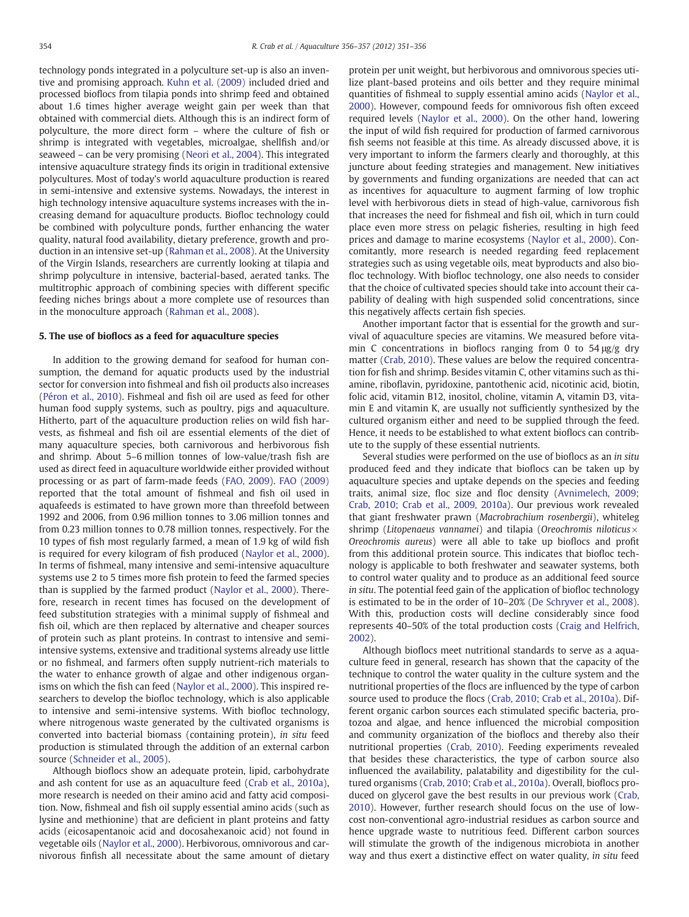technology ponds integrated in a polyculture set-up is also an inventive and promising approach. [Kuhn et al. \(2009\)](#page-5-0) included dried and processed bioflocs from tilapia ponds into shrimp feed and obtained about 1.6 times higher average weight gain per week than that obtained with commercial diets. Although this is an indirect form of polyculture, the more direct form – where the culture of fish or shrimp is integrated with vegetables, microalgae, shellfish and/or seaweed – can be very promising ([Neori et al., 2004\)](#page-5-0). This integrated intensive aquaculture strategy finds its origin in traditional extensive polycultures. Most of today's world aquaculture production is reared in semi-intensive and extensive systems. Nowadays, the interest in high technology intensive aquaculture systems increases with the increasing demand for aquaculture products. Biofloc technology could be combined with polyculture ponds, further enhancing the water quality, natural food availability, dietary preference, growth and production in an intensive set-up [\(Rahman et al., 2008\)](#page-5-0). At the University of the Virgin Islands, researchers are currently looking at tilapia and shrimp polyculture in intensive, bacterial-based, aerated tanks. The multitrophic approach of combining species with different specific feeding niches brings about a more complete use of resources than in the monoculture approach [\(Rahman et al., 2008\)](#page-5-0).

#### 5. The use of bioflocs as a feed for aquaculture species

In addition to the growing demand for seafood for human consumption, the demand for aquatic products used by the industrial sector for conversion into fishmeal and fish oil products also increases [\(Péron et al., 2010](#page-5-0)). Fishmeal and fish oil are used as feed for other human food supply systems, such as poultry, pigs and aquaculture. Hitherto, part of the aquaculture production relies on wild fish harvests, as fishmeal and fish oil are essential elements of the diet of many aquaculture species, both carnivorous and herbivorous fish and shrimp. About 5–6 million tonnes of low-value/trash fish are used as direct feed in aquaculture worldwide either provided without processing or as part of farm-made feeds [\(FAO, 2009](#page-5-0)). [FAO \(2009\)](#page-5-0) reported that the total amount of fishmeal and fish oil used in aquafeeds is estimated to have grown more than threefold between 1992 and 2006, from 0.96 million tonnes to 3.06 million tonnes and from 0.23 million tonnes to 0.78 million tonnes, respectively. For the 10 types of fish most regularly farmed, a mean of 1.9 kg of wild fish is required for every kilogram of fish produced [\(Naylor et al., 2000](#page-5-0)). In terms of fishmeal, many intensive and semi-intensive aquaculture systems use 2 to 5 times more fish protein to feed the farmed species than is supplied by the farmed product [\(Naylor et al., 2000\)](#page-5-0). Therefore, research in recent times has focused on the development of feed substitution strategies with a minimal supply of fishmeal and fish oil, which are then replaced by alternative and cheaper sources of protein such as plant proteins. In contrast to intensive and semiintensive systems, extensive and traditional systems already use little or no fishmeal, and farmers often supply nutrient-rich materials to the water to enhance growth of algae and other indigenous organisms on which the fish can feed ([Naylor et al., 2000](#page-5-0)). This inspired researchers to develop the biofloc technology, which is also applicable to intensive and semi-intensive systems. With biofloc technology, where nitrogenous waste generated by the cultivated organisms is converted into bacterial biomass (containing protein), in situ feed production is stimulated through the addition of an external carbon source [\(Schneider et al., 2005\)](#page-5-0).

Although bioflocs show an adequate protein, lipid, carbohydrate and ash content for use as an aquaculture feed ([Crab et al., 2010a](#page-5-0)), more research is needed on their amino acid and fatty acid composition. Now, fishmeal and fish oil supply essential amino acids (such as lysine and methionine) that are deficient in plant proteins and fatty acids (eicosapentanoic acid and docosahexanoic acid) not found in vegetable oils ([Naylor et al., 2000\)](#page-5-0). Herbivorous, omnivorous and carnivorous finfish all necessitate about the same amount of dietary

protein per unit weight, but herbivorous and omnivorous species utilize plant-based proteins and oils better and they require minimal quantities of fishmeal to supply essential amino acids [\(Naylor et al.,](#page-5-0) [2000\)](#page-5-0). However, compound feeds for omnivorous fish often exceed required levels [\(Naylor et al., 2000\)](#page-5-0). On the other hand, lowering the input of wild fish required for production of farmed carnivorous fish seems not feasible at this time. As already discussed above, it is very important to inform the farmers clearly and thoroughly, at this juncture about feeding strategies and management. New initiatives by governments and funding organizations are needed that can act as incentives for aquaculture to augment farming of low trophic level with herbivorous diets in stead of high-value, carnivorous fish that increases the need for fishmeal and fish oil, which in turn could place even more stress on pelagic fisheries, resulting in high feed prices and damage to marine ecosystems ([Naylor et al., 2000\)](#page-5-0). Concomitantly, more research is needed regarding feed replacement strategies such as using vegetable oils, meat byproducts and also biofloc technology. With biofloc technology, one also needs to consider that the choice of cultivated species should take into account their capability of dealing with high suspended solid concentrations, since this negatively affects certain fish species.

Another important factor that is essential for the growth and survival of aquaculture species are vitamins. We measured before vitamin C concentrations in bioflocs ranging from 0 to 54 μg/g dry matter [\(Crab, 2010](#page-5-0)). These values are below the required concentration for fish and shrimp. Besides vitamin C, other vitamins such as thiamine, riboflavin, pyridoxine, pantothenic acid, nicotinic acid, biotin, folic acid, vitamin B12, inositol, choline, vitamin A, vitamin D3, vitamin E and vitamin K, are usually not sufficiently synthesized by the cultured organism either and need to be supplied through the feed. Hence, it needs to be established to what extent bioflocs can contribute to the supply of these essential nutrients.

Several studies were performed on the use of bioflocs as an in situ produced feed and they indicate that bioflocs can be taken up by aquaculture species and uptake depends on the species and feeding traits, animal size, floc size and floc density [\(Avnimelech, 2009;](#page-5-0) [Crab, 2010; Crab et al., 2009, 2010a](#page-5-0)). Our previous work revealed that giant freshwater prawn (Macrobrachium rosenbergii), whiteleg shrimp (Litopenaeus vannamei) and tilapia (Oreochromis niloticus $\times$ Oreochromis aureus) were all able to take up bioflocs and profit from this additional protein source. This indicates that biofloc technology is applicable to both freshwater and seawater systems, both to control water quality and to produce as an additional feed source in situ. The potential feed gain of the application of biofloc technology is estimated to be in the order of 10–20% [\(De Schryver et al., 2008](#page-5-0)). With this, production costs will decline considerably since food represents 40–50% of the total production costs [\(Craig and Helfrich,](#page-5-0) [2002\)](#page-5-0).

Although bioflocs meet nutritional standards to serve as a aquaculture feed in general, research has shown that the capacity of the technique to control the water quality in the culture system and the nutritional properties of the flocs are influenced by the type of carbon source used to produce the flocs [\(Crab, 2010; Crab et al., 2010a](#page-5-0)). Different organic carbon sources each stimulated specific bacteria, protozoa and algae, and hence influenced the microbial composition and community organization of the bioflocs and thereby also their nutritional properties ([Crab, 2010](#page-5-0)). Feeding experiments revealed that besides these characteristics, the type of carbon source also influenced the availability, palatability and digestibility for the cultured organisms [\(Crab, 2010; Crab et al., 2010a\)](#page-5-0). Overall, bioflocs produced on glycerol gave the best results in our previous work [\(Crab,](#page-5-0) [2010\)](#page-5-0). However, further research should focus on the use of lowcost non-conventional agro-industrial residues as carbon source and hence upgrade waste to nutritious feed. Different carbon sources will stimulate the growth of the indigenous microbiota in another way and thus exert a distinctive effect on water quality, in situ feed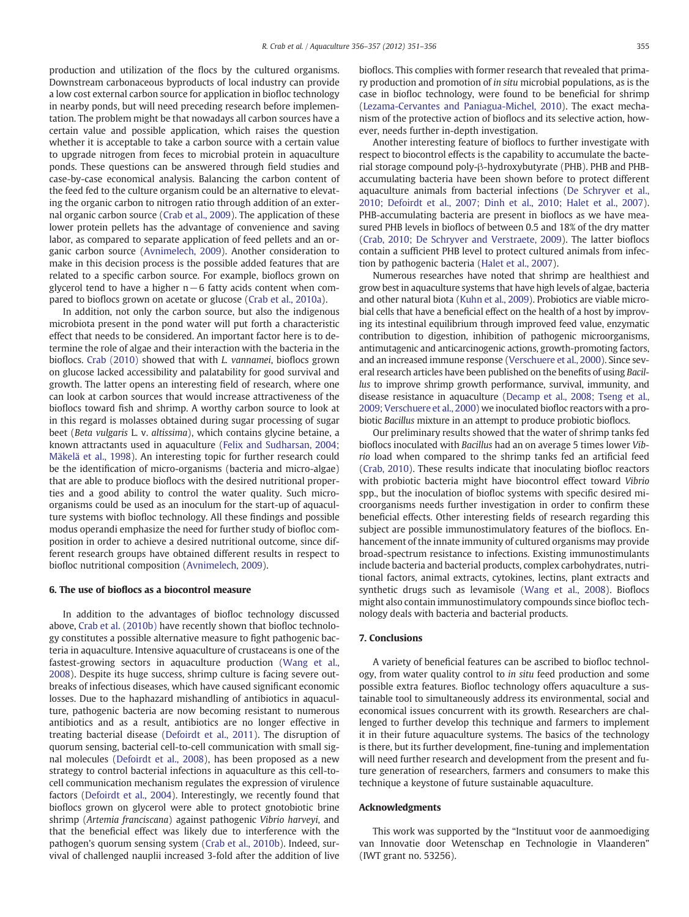production and utilization of the flocs by the cultured organisms. Downstream carbonaceous byproducts of local industry can provide a low cost external carbon source for application in biofloc technology in nearby ponds, but will need preceding research before implementation. The problem might be that nowadays all carbon sources have a certain value and possible application, which raises the question whether it is acceptable to take a carbon source with a certain value to upgrade nitrogen from feces to microbial protein in aquaculture ponds. These questions can be answered through field studies and case-by-case economical analysis. Balancing the carbon content of the feed fed to the culture organism could be an alternative to elevating the organic carbon to nitrogen ratio through addition of an external organic carbon source [\(Crab et al., 2009\)](#page-5-0). The application of these lower protein pellets has the advantage of convenience and saving labor, as compared to separate application of feed pellets and an organic carbon source ([Avnimelech, 2009](#page-5-0)). Another consideration to make in this decision process is the possible added features that are related to a specific carbon source. For example, bioflocs grown on glycerol tend to have a higher n−6 fatty acids content when compared to bioflocs grown on acetate or glucose ([Crab et al., 2010a](#page-5-0)).

In addition, not only the carbon source, but also the indigenous microbiota present in the pond water will put forth a characteristic effect that needs to be considered. An important factor here is to determine the role of algae and their interaction with the bacteria in the bioflocs. [Crab \(2010\)](#page-5-0) showed that with L. vannamei, bioflocs grown on glucose lacked accessibility and palatability for good survival and growth. The latter opens an interesting field of research, where one can look at carbon sources that would increase attractiveness of the bioflocs toward fish and shrimp. A worthy carbon source to look at in this regard is molasses obtained during sugar processing of sugar beet (Beta vulgaris L. v. altissima), which contains glycine betaine, a known attractants used in aquaculture ([Felix and Sudharsan, 2004;](#page-5-0) [Mäkelä et al., 1998](#page-5-0)). An interesting topic for further research could be the identification of micro-organisms (bacteria and micro-algae) that are able to produce bioflocs with the desired nutritional properties and a good ability to control the water quality. Such microorganisms could be used as an inoculum for the start-up of aquaculture systems with biofloc technology. All these findings and possible modus operandi emphasize the need for further study of biofloc composition in order to achieve a desired nutritional outcome, since different research groups have obtained different results in respect to biofloc nutritional composition [\(Avnimelech, 2009\)](#page-5-0).

### 6. The use of bioflocs as a biocontrol measure

In addition to the advantages of biofloc technology discussed above, [Crab et al. \(2010b\)](#page-5-0) have recently shown that biofloc technology constitutes a possible alternative measure to fight pathogenic bacteria in aquaculture. Intensive aquaculture of crustaceans is one of the fastest-growing sectors in aquaculture production ([Wang et al.,](#page-5-0) [2008\)](#page-5-0). Despite its huge success, shrimp culture is facing severe outbreaks of infectious diseases, which have caused significant economic losses. Due to the haphazard mishandling of antibiotics in aquaculture, pathogenic bacteria are now becoming resistant to numerous antibiotics and as a result, antibiotics are no longer effective in treating bacterial disease [\(Defoirdt et al., 2011](#page-5-0)). The disruption of quorum sensing, bacterial cell-to-cell communication with small signal molecules ([Defoirdt et al., 2008](#page-5-0)), has been proposed as a new strategy to control bacterial infections in aquaculture as this cell-tocell communication mechanism regulates the expression of virulence factors ([Defoirdt et al., 2004](#page-5-0)). Interestingly, we recently found that bioflocs grown on glycerol were able to protect gnotobiotic brine shrimp (Artemia franciscana) against pathogenic Vibrio harveyi, and that the beneficial effect was likely due to interference with the pathogen's quorum sensing system ([Crab et al., 2010b\)](#page-5-0). Indeed, survival of challenged nauplii increased 3-fold after the addition of live

bioflocs. This complies with former research that revealed that primary production and promotion of in situ microbial populations, as is the case in biofloc technology, were found to be beneficial for shrimp [\(Lezama-Cervantes and Paniagua-Michel, 2010\)](#page-5-0). The exact mechanism of the protective action of bioflocs and its selective action, however, needs further in-depth investigation.

Another interesting feature of bioflocs to further investigate with respect to biocontrol effects is the capability to accumulate the bacterial storage compound poly-β-hydroxybutyrate (PHB). PHB and PHBaccumulating bacteria have been shown before to protect different aquaculture animals from bacterial infections ([De Schryver et al.,](#page-5-0) [2010; Defoirdt et al., 2007; Dinh et al., 2010; Halet et al., 2007](#page-5-0)). PHB-accumulating bacteria are present in bioflocs as we have measured PHB levels in bioflocs of between 0.5 and 18% of the dry matter [\(Crab, 2010; De Schryver and Verstraete, 2009\)](#page-5-0). The latter bioflocs contain a sufficient PHB level to protect cultured animals from infection by pathogenic bacteria [\(Halet et al., 2007\)](#page-5-0).

Numerous researches have noted that shrimp are healthiest and grow best in aquaculture systems that have high levels of algae, bacteria and other natural biota ([Kuhn et al., 2009](#page-5-0)). Probiotics are viable microbial cells that have a beneficial effect on the health of a host by improving its intestinal equilibrium through improved feed value, enzymatic contribution to digestion, inhibition of pathogenic microorganisms, antimutagenic and anticarcinogenic actions, growth-promoting factors, and an increased immune response [\(Verschuere et al., 2000](#page-5-0)). Since several research articles have been published on the benefits of using Bacillus to improve shrimp growth performance, survival, immunity, and disease resistance in aquaculture ([Decamp et al., 2008; Tseng et al.,](#page-5-0) [2009; Verschuere et al., 2000](#page-5-0)) we inoculated biofloc reactors with a probiotic Bacillus mixture in an attempt to produce probiotic bioflocs.

Our preliminary results showed that the water of shrimp tanks fed bioflocs inoculated with Bacillus had an on average 5 times lower Vibrio load when compared to the shrimp tanks fed an artificial feed [\(Crab, 2010](#page-5-0)). These results indicate that inoculating biofloc reactors with probiotic bacteria might have biocontrol effect toward Vibrio spp., but the inoculation of biofloc systems with specific desired microorganisms needs further investigation in order to confirm these beneficial effects. Other interesting fields of research regarding this subject are possible immunostimulatory features of the bioflocs. Enhancement of the innate immunity of cultured organisms may provide broad-spectrum resistance to infections. Existing immunostimulants include bacteria and bacterial products, complex carbohydrates, nutritional factors, animal extracts, cytokines, lectins, plant extracts and synthetic drugs such as levamisole [\(Wang et al., 2008\)](#page-5-0). Bioflocs might also contain immunostimulatory compounds since biofloc technology deals with bacteria and bacterial products.

#### 7. Conclusions

A variety of beneficial features can be ascribed to biofloc technology, from water quality control to in situ feed production and some possible extra features. Biofloc technology offers aquaculture a sustainable tool to simultaneously address its environmental, social and economical issues concurrent with its growth. Researchers are challenged to further develop this technique and farmers to implement it in their future aquaculture systems. The basics of the technology is there, but its further development, fine-tuning and implementation will need further research and development from the present and future generation of researchers, farmers and consumers to make this technique a keystone of future sustainable aquaculture.

#### Acknowledgments

This work was supported by the "Instituut voor de aanmoediging van Innovatie door Wetenschap en Technologie in Vlaanderen" (IWT grant no. 53256).